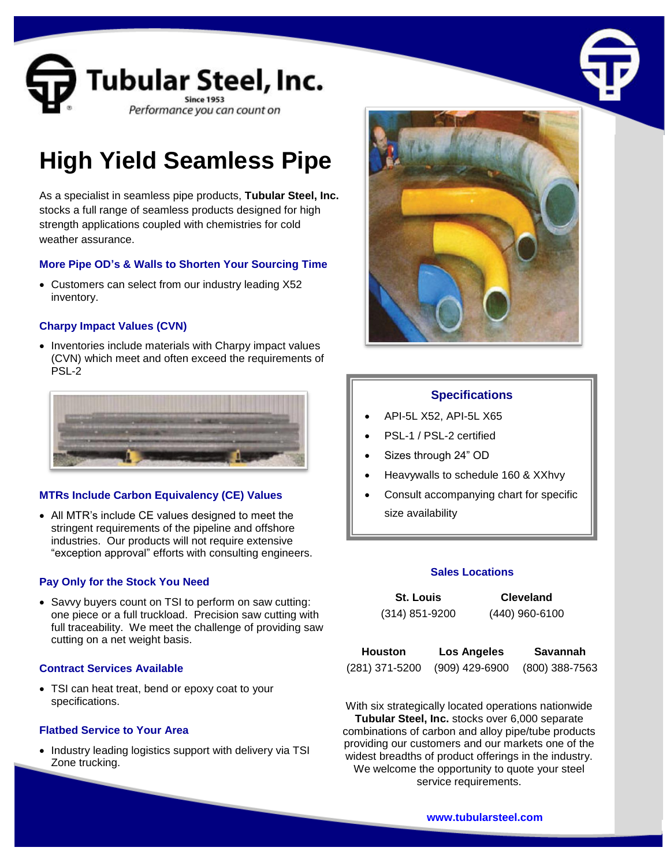

# **High Yield Seamless Pipe**

As a specialist in seamless pipe products, **Tubular Steel, Inc.** stocks a full range of seamless products designed for high strength applications coupled with chemistries for cold weather assurance.

# **More Pipe OD's & Walls to Shorten Your Sourcing Time**

• Customers can select from our industry leading X52 inventory.

# **Charpy Impact Values (CVN)**

• Inventories include materials with Charpy impact values (CVN) which meet and often exceed the requirements of PSL-2



# **MTRs Include Carbon Equivalency (CE) Values**

 All MTR's include CE values designed to meet the stringent requirements of the pipeline and offshore industries. Our products will not require extensive "exception approval" efforts with consulting engineers.

#### **Pay Only for the Stock You Need**

• Savvy buyers count on TSI to perform on saw cutting: one piece or a full truckload. Precision saw cutting with full traceability. We meet the challenge of providing saw cutting on a net weight basis.

#### **Contract Services Available**

 TSI can heat treat, bend or epoxy coat to your specifications.

#### **Flatbed Service to Your Area**

• Industry leading logistics support with delivery via TSI Zone trucking.



# **Specifications**

- API-5L X52, API-5L X65
- PSL-1 / PSL-2 certified
- Sizes through 24" OD
- Heavywalls to schedule 160 & XXhvy
- Consult accompanying chart for specific size availability

#### **Sales Locations**

| <b>St. Louis</b> | <b>Cleveland</b> |
|------------------|------------------|
| $(314)$ 851-9200 | $(440)$ 960-6100 |

| Houston        | Los Angeles    | Savannah       |
|----------------|----------------|----------------|
| (281) 371-5200 | (909) 429-6900 | (800) 388-7563 |

With six strategically located operations nationwide **Tubular Steel, Inc.** stocks over 6,000 separate combinations of carbon and alloy pipe/tube products providing our customers and our markets one of the widest breadths of product offerings in the industry. We welcome the opportunity to quote your steel service requirements.